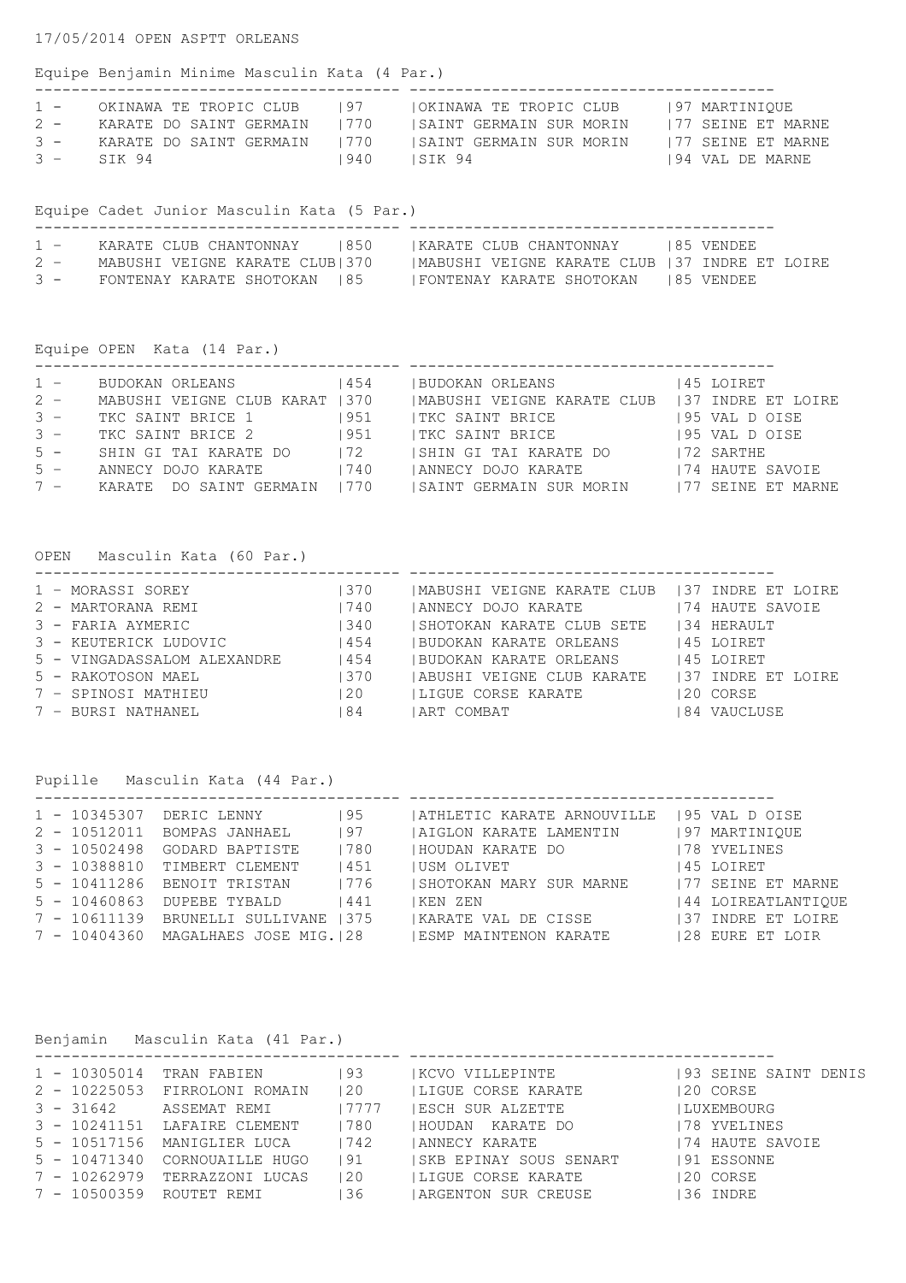## Equipe Benjamin Minime Masculin Kata (4 Par.)

| $1 -$ | OKINAWA TE TROPIC CLUB       | 197  | OKINAWA TE TROPIC CLUB   | 197 MARTINIOUE     |
|-------|------------------------------|------|--------------------------|--------------------|
| $2 -$ | KARATE DO SAINT GERMAIN 1770 |      | ISAINT GERMAIN SUR MORIN | 177 SEINE ET MARNE |
| $3 -$ | KARATE DO SAINT GERMAIN      | 1770 | ISAINT GERMAIN SUR MORIN | 177 SEINE ET MARNE |
|       | $3 -$ SIK 94                 | 940  | ISIK 94                  | 194 VAL DE MARNE   |

Equipe Cadet Junior Masculin Kata (5 Par.)

| $1 -$ | KARATE CLUB CHANTONNAY 1850    | IKARATE CLUB CHANTONNAY                        | 185 VENDEE |
|-------|--------------------------------|------------------------------------------------|------------|
| $2 -$ | MABUSHI VEIGNE KARATE CLUB 370 | MABUSHI VEIGNE KARATE CLUB   37 INDRE ET LOIRE |            |
| $3 -$ | FONTENAY KARATE SHOTOKAN 185   | <b>IFONTENAY KARATE SHOTOKAN 185 VENDEE</b>    |            |

Equipe OPEN Kata (14 Par.)

| $1 -$ | BUDOKAN ORLEANS           | 454   | IBUDOKAN ORLEANS                               | 145 LOIRET         |
|-------|---------------------------|-------|------------------------------------------------|--------------------|
| $2 -$ | MABUSHI VEIGNE CLUB KARAT | 1370  | IMABUSHI VEIGNE KARATE CLUB 137 INDRE ET LOIRE |                    |
| $3 -$ | TKC SAINT BRICE 1         | 951   | TKC SAINT BRICE                                | 195 VAL D OISE     |
| $3 -$ | TKC SAINT BRICE 2         | i 951 | TKC SAINT BRICE                                | 195 VAL D OISE     |
| $5 -$ | SHIN GI TAI KARATE DO     | 172   | ISHIN GI TAI KARATE DO                         | 172 SARTHE         |
| $5 -$ | ANNECY DOJO KARATE        | 1740  | ANNECY DOJO KARATE                             | 174 HAUTE SAVOIE   |
| $7 -$ | KARATE DO SAINT GERMAIN   | 1770  | ISAINT GERMAIN SUR MORIN                       | 177 SEINE ET MARNE |

OPEN Masculin Kata (60 Par.)

| 1 - MORASSI SOREY           | 370   | IMABUSHI VEIGNE KARATE CLUB 137 INDRE ET LOIRE |                    |
|-----------------------------|-------|------------------------------------------------|--------------------|
| 2 - MARTORANA REMI          | 1740  | ANNECY DOJO KARATE                             | 174 HAUTE SAVOIE   |
| 3 - FARIA AYMERIC           | 1340  | ISHOTOKAN KARATE CLUB SETE                     | 134 HERAULT        |
| 3 - KEUTERICK LUDOVIC       | l 454 | IBUDOKAN KARATE ORLEANS                        | 145 LOIRET         |
| 5 - VINGADASSALOM ALEXANDRE | 454   | IBUDOKAN KARATE ORLEANS                        | 145 LOIRET         |
| 5 - RAKOTOSON MAEL          | 1370  | IABUSHI VEIGNE CLUB KARATE                     | 137 INDRE ET LOIRE |
| 7 - SPINOSI MATHIEU         | 120   | ILIGUE CORSE KARATE                            | 120 CORSE          |
| 7 - BURSI NATHANEL          | 84    | IART COMBAT                                    | 84 VAUCLUSE        |

Pupille Masculin Kata (44 Par.)

| 1 - 10345307   | DERIC LENNY                  | 195  | ATHLETIC KARATE ARNOUVILLE | 195 VAL D OISE      |
|----------------|------------------------------|------|----------------------------|---------------------|
| $2 - 10512011$ | BOMPAS JANHAEL               | 197  | AIGLON KARATE LAMENTIN     | 197 MARTINIQUE      |
| $3 - 10502498$ | GODARD BAPTISTE              | 1780 | HOUDAN KARATE DO           | 178 YVELINES        |
|                | 3 - 10388810 TIMBERT CLEMENT | 1451 | IUSM OLIVET                | 145 LOIRET          |
| $5 - 10411286$ | BENOIT TRISTAN               | 1776 | ISHOTOKAN MARY SUR MARNE   | 177 SEINE ET MARNE  |
| $5 - 10460863$ | DUPEBE TYBALD                | 441  | KEN ZEN                    | 144 LOIREATLANTIOUE |
| $7 - 10611139$ | BRUNELLI SULLIVANE   375     |      | KARATE VAL DE CISSE        | 137 INDRE ET LOIRE  |
| 7 - 10404360   | MAGALHAES JOSE MIG. 128      |      | ESMP MAINTENON KARATE      | 128 EURE ET LOIR    |

| Benjamin Masculin Kata (41 Par.) |                              |       |                         |                       |  |  |  |
|----------------------------------|------------------------------|-------|-------------------------|-----------------------|--|--|--|
| $1 - 10305014$                   | TRAN FABIEN                  | 193   | KCVO VILLEPINTE         | 193 SEINE SAINT DENIS |  |  |  |
| $2 - 10225053$                   | FIRROLONI ROMAIN             | 120   | LIGUE CORSE KARATE      | 120 CORSE             |  |  |  |
|                                  | 3 - 31642 ASSEMAT REMI       | 17777 | ESCH SUR ALZETTE        | LUXEMBOURG            |  |  |  |
|                                  | 3 - 10241151 LAFAIRE CLEMENT | 780   | HOUDAN KARATE DO        | 178 YVELINES          |  |  |  |
| 5 - 10517156                     | MANIGLIER LUCA               | 1742  | ANNECY KARATE           | 174 HAUTE SAVOIE      |  |  |  |
| $5 - 10471340$                   | CORNOUAILLE HUGO             | 91    | ISKB EPINAY SOUS SENART | 191 ESSONNE           |  |  |  |
| $7 - 10262979$                   | TERRAZZONI LUCAS             | 120   | LIGUE CORSE KARATE      | 120 CORSE             |  |  |  |
| 7 - 10500359                     | ROUTET REMI                  | 136   | ARGENTON SUR CREUSE     | 136 INDRE             |  |  |  |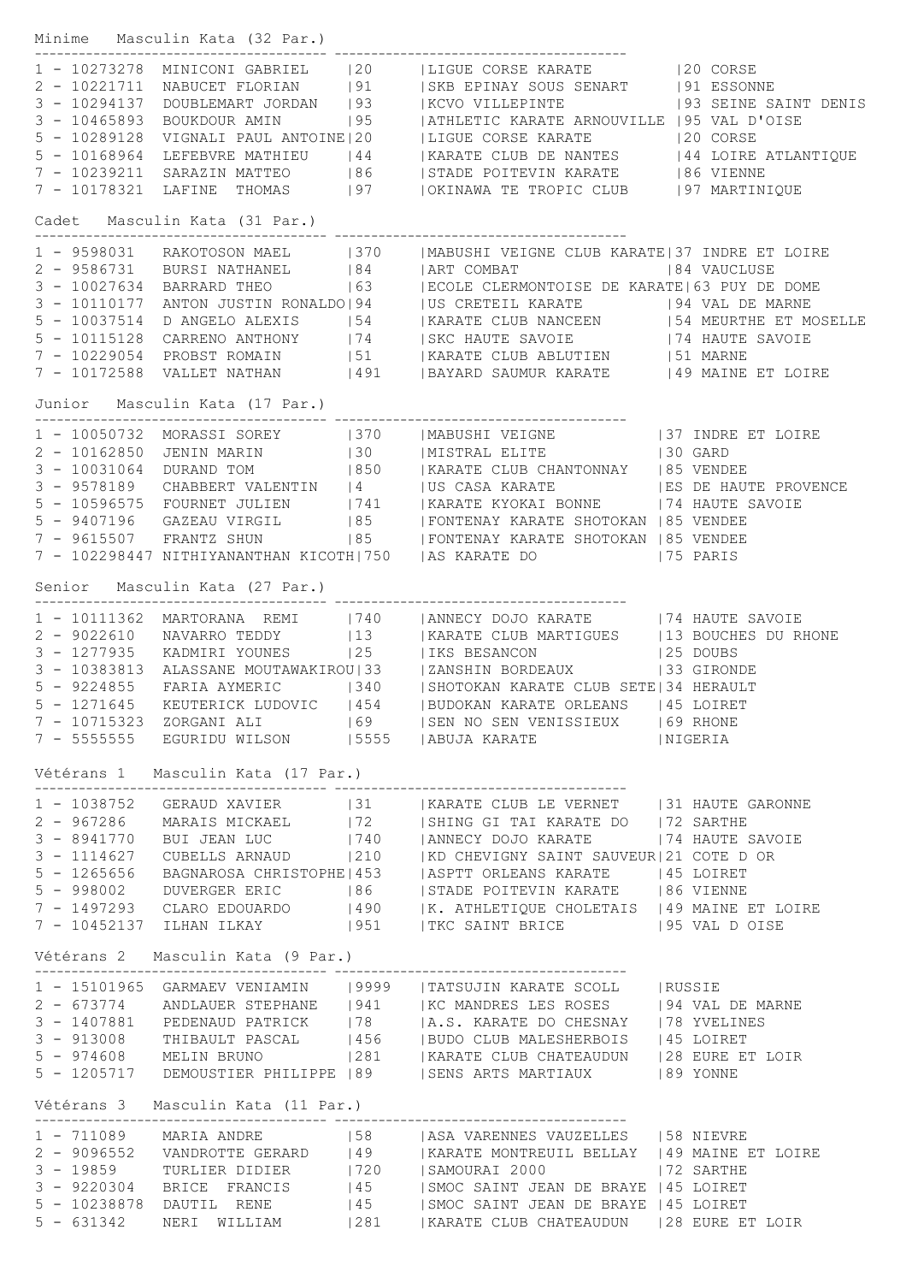|              | Minime Masculin Kata (32 Par.)     |                                                                                                                                                                                                                                                                                                                                                                                                                 |  |
|--------------|------------------------------------|-----------------------------------------------------------------------------------------------------------------------------------------------------------------------------------------------------------------------------------------------------------------------------------------------------------------------------------------------------------------------------------------------------------------|--|
|              |                                    | 1 - 10273278 MINICONI GABRIEL  20   LIGUE CORSE KARATE   20 CORSE<br>2 - 10221711 NABUCET FLORIAN   91   SKB EPINAY SOUS SENART   91 ESSONNE<br>3 - 10294137 DOUBLEMART JORDAN   93   KCVO VILLEPINTE   93 SEINE SAINT DENIS<br>3 - 104                                                                                                                                                                         |  |
|              |                                    |                                                                                                                                                                                                                                                                                                                                                                                                                 |  |
|              |                                    |                                                                                                                                                                                                                                                                                                                                                                                                                 |  |
|              |                                    |                                                                                                                                                                                                                                                                                                                                                                                                                 |  |
|              |                                    |                                                                                                                                                                                                                                                                                                                                                                                                                 |  |
|              |                                    | 5 - 10168964 LEFEBVRE MATHIEU   44   KARATE CLUB DE NANTES   44 LOIRE ATLANTIQUE                                                                                                                                                                                                                                                                                                                                |  |
|              |                                    | 7 - 10239211 SARAZIN MATTEO 186 ISTADE POITEVIN KARATE 186 VIENNE                                                                                                                                                                                                                                                                                                                                               |  |
|              |                                    | 7 - 10178321 LAFINE THOMAS   97     OKINAWA TE TROPIC CLUB   97 MARTINIQUE                                                                                                                                                                                                                                                                                                                                      |  |
|              | Cadet Masculin Kata (31 Par.)      |                                                                                                                                                                                                                                                                                                                                                                                                                 |  |
|              |                                    | 1 - 9598031 RAKOTOSON MAEL 1370   MABUSHI VEIGNE CLUB KARATE 37 INDRE ET LOIRE<br>2 - 9586731 BURSI NATHANEL 184   ART COMBAT 184 VAUCLUSE<br>3 - 10027634 BARRARD THEO 163   ECOLE CLERMONTOISE DE KARATE 63 PUY DE DOME<br>3 - 101101                                                                                                                                                                         |  |
|              |                                    |                                                                                                                                                                                                                                                                                                                                                                                                                 |  |
|              |                                    |                                                                                                                                                                                                                                                                                                                                                                                                                 |  |
|              |                                    |                                                                                                                                                                                                                                                                                                                                                                                                                 |  |
|              |                                    |                                                                                                                                                                                                                                                                                                                                                                                                                 |  |
|              |                                    | 5 - 10115128 CARRENO ANTHONY   74   SKC HAUTE SAVOIE   74 HAUTE SAVOIE                                                                                                                                                                                                                                                                                                                                          |  |
|              |                                    | 7 - 10229054 PROBST ROMAIN   51   KARATE CLUB ABLUTIEN   51 MARNE                                                                                                                                                                                                                                                                                                                                               |  |
|              |                                    | 7 - 10172588 VALLET NATHAN   491   BAYARD SAUMUR KARATE   49 MAINE ET LOIRE                                                                                                                                                                                                                                                                                                                                     |  |
|              | Junior Masculin Kata (17 Par.)     |                                                                                                                                                                                                                                                                                                                                                                                                                 |  |
|              |                                    | $\begin{tabular}{lllllllllllllllllll} 1 & - 10050732 & \text{MORSSI SOREY} & & & & & & \text{MABUSHI VEIGNE} & & & & \text{37 INDRE ET LOIRE} \\ 2 & - 10162850 & \text{JENIN MARN} & & & & \text{30} & & \text{MISTRAL ELITE} & & & \text{30 GARD} \\ 3 & - 10031064 & \text{DURAND TOM} & & & & \text{1850} & & \text{KARATE CLUB CHANTONNAY} & & \text{185 VENDEE} \\ 3 & - 9578189 & \text{CHABBERT VALENT$ |  |
|              |                                    |                                                                                                                                                                                                                                                                                                                                                                                                                 |  |
|              |                                    |                                                                                                                                                                                                                                                                                                                                                                                                                 |  |
|              |                                    |                                                                                                                                                                                                                                                                                                                                                                                                                 |  |
|              |                                    |                                                                                                                                                                                                                                                                                                                                                                                                                 |  |
|              |                                    |                                                                                                                                                                                                                                                                                                                                                                                                                 |  |
|              |                                    | 7 - 9615507 FRANTZ SHUN   85   FONTENAY KARATE SHOTOKAN   85 VENDEE                                                                                                                                                                                                                                                                                                                                             |  |
|              |                                    | 7 - 102298447 NITHIYANANTHAN KICOTH 750   AS KARATE DO   75 PARIS                                                                                                                                                                                                                                                                                                                                               |  |
|              | Senior Masculin Kata (27 Par.)     |                                                                                                                                                                                                                                                                                                                                                                                                                 |  |
|              |                                    | 1 - 10111362 MARTORANA REMI   740   ANNECY DOJO KARATE   74 HAUTE SAVOIE                                                                                                                                                                                                                                                                                                                                        |  |
|              |                                    |                                                                                                                                                                                                                                                                                                                                                                                                                 |  |
|              |                                    | 9022610 NAVARRO TEDDY 13   KARATE CLUB MARTIGUES 13 BOUCHES DU RHONE 125   1277935 KADMIRI YOUNES 125   13 BESANCON 125 DOUBS 128   25 DOUBS 128   25 DOUBS 128   25 DOUBS 128   25 DOUBS 128   25 DOUBS 128   25 DOUBS 128                                                                                                                                                                                     |  |
|              |                                    |                                                                                                                                                                                                                                                                                                                                                                                                                 |  |
|              |                                    |                                                                                                                                                                                                                                                                                                                                                                                                                 |  |
|              |                                    | 5 - 1271645 KEUTERICK LUDOVIC   454   BUDOKAN KARATE ORLEANS   45 LOIRET                                                                                                                                                                                                                                                                                                                                        |  |
|              |                                    | 7 - 10715323 ZORGANI ALI (69 )   SEN NO SEN VENISSIEUX   69 RHONE                                                                                                                                                                                                                                                                                                                                               |  |
|              |                                    | 7 - 5555555 EGURIDU WILSON   15555   ABUJA KARATE   NIGERIA                                                                                                                                                                                                                                                                                                                                                     |  |
|              | Vétérans 1 Masculin Kata (17 Par.) |                                                                                                                                                                                                                                                                                                                                                                                                                 |  |
|              |                                    | 1 - 1038752 GERAUD XAVIER   31   KARATE CLUB LE VERNET   31 HAUTE GARONNE                                                                                                                                                                                                                                                                                                                                       |  |
|              |                                    | 2 - 967286 MARAIS MICKAEL   72   SHING GI TAI KARATE DO   72 SARTHE                                                                                                                                                                                                                                                                                                                                             |  |
|              |                                    | 3 - 8941770 BUI JEAN LUC   740   ANNECY DOJO KARATE   74 HAUTE SAVOIE                                                                                                                                                                                                                                                                                                                                           |  |
|              |                                    |                                                                                                                                                                                                                                                                                                                                                                                                                 |  |
|              |                                    |                                                                                                                                                                                                                                                                                                                                                                                                                 |  |
|              |                                    |                                                                                                                                                                                                                                                                                                                                                                                                                 |  |
|              |                                    |                                                                                                                                                                                                                                                                                                                                                                                                                 |  |
|              |                                    | $\begin{tabular}{lllllllllllllllllllllll} \hline 3-1114627 & CUBELLS ARNAUD &  210 &  KD CHEVIGNY SAINT SAUVEUR 21 COTE D OR \\ 5-1265656 & BAGNAROSA CHRISTOPHE 453 &  ASPTT ORLEANS KARATE &  45 LOIRET \\ 5-998002 & DUVERGER ERIC &  86 &  STADE POTEVIN KARATE &  86 VIENNE \\ 7-1497293 & CLARO EDOUARDO &  490 &  K. ATHLETIQUE CDLETATS &  49 MAINE ET LOIRE \\ 7-10452137 ILHAN ILKAY &  951 &  $      |  |
|              | Vétérans 2 Masculin Kata (9 Par.)  |                                                                                                                                                                                                                                                                                                                                                                                                                 |  |
|              |                                    | 1 - 15101965 GARMAEV VENIAMIN   9999   TATSUJIN KARATE SCOLL   RUSSIE                                                                                                                                                                                                                                                                                                                                           |  |
|              |                                    | 2 - 673774 ANDLAUER STEPHANE   941   KC MANDRES LES ROSES   94 VAL DE MARNE                                                                                                                                                                                                                                                                                                                                     |  |
|              |                                    | 3 - 1407881 PEDENAUD PATRICK   78   A.S. KARATE DO CHESNAY   78 YVELINES                                                                                                                                                                                                                                                                                                                                        |  |
|              |                                    | 3 - 913008 THIBAULT PASCAL   456   BUDO CLUB MALESHERBOIS   45 LOIRET                                                                                                                                                                                                                                                                                                                                           |  |
|              |                                    | 5 - 974608 MELIN BRUNO   281   KARATE CLUB CHATEAUDUN   28 EURE ET LOIR                                                                                                                                                                                                                                                                                                                                         |  |
|              |                                    | 5 - 1205717 DEMOUSTIER PHILIPPE   89   SENS ARTS MARTIAUX   89 YONNE                                                                                                                                                                                                                                                                                                                                            |  |
|              | Vétérans 3 Masculin Kata (11 Par.) |                                                                                                                                                                                                                                                                                                                                                                                                                 |  |
|              |                                    |                                                                                                                                                                                                                                                                                                                                                                                                                 |  |
|              |                                    | 1 - 711089 MARIA ANDRE 158   ASA VARENNES VAUZELLES   58 NIEVRE<br>2 - 9096552 VANDROTTE GERARD 149   KARATE MONTREUIL BELLAY 149 MAINE ET LOIRE                                                                                                                                                                                                                                                                |  |
|              |                                    |                                                                                                                                                                                                                                                                                                                                                                                                                 |  |
|              |                                    | 3 - 9220304 BRICE FRANCIS   45   SMOC SAINT JEAN DE BRAYE   45 LOIRET                                                                                                                                                                                                                                                                                                                                           |  |
|              |                                    | 5 - 10238878 DAUTIL RENE   45   SMOC SAINT JEAN DE BRAYE   45 LOIRET                                                                                                                                                                                                                                                                                                                                            |  |
| $5 - 631342$ |                                    | NERI WILLIAM   281   KARATE CLUB CHATEAUDUN   28 EURE ET LOIR                                                                                                                                                                                                                                                                                                                                                   |  |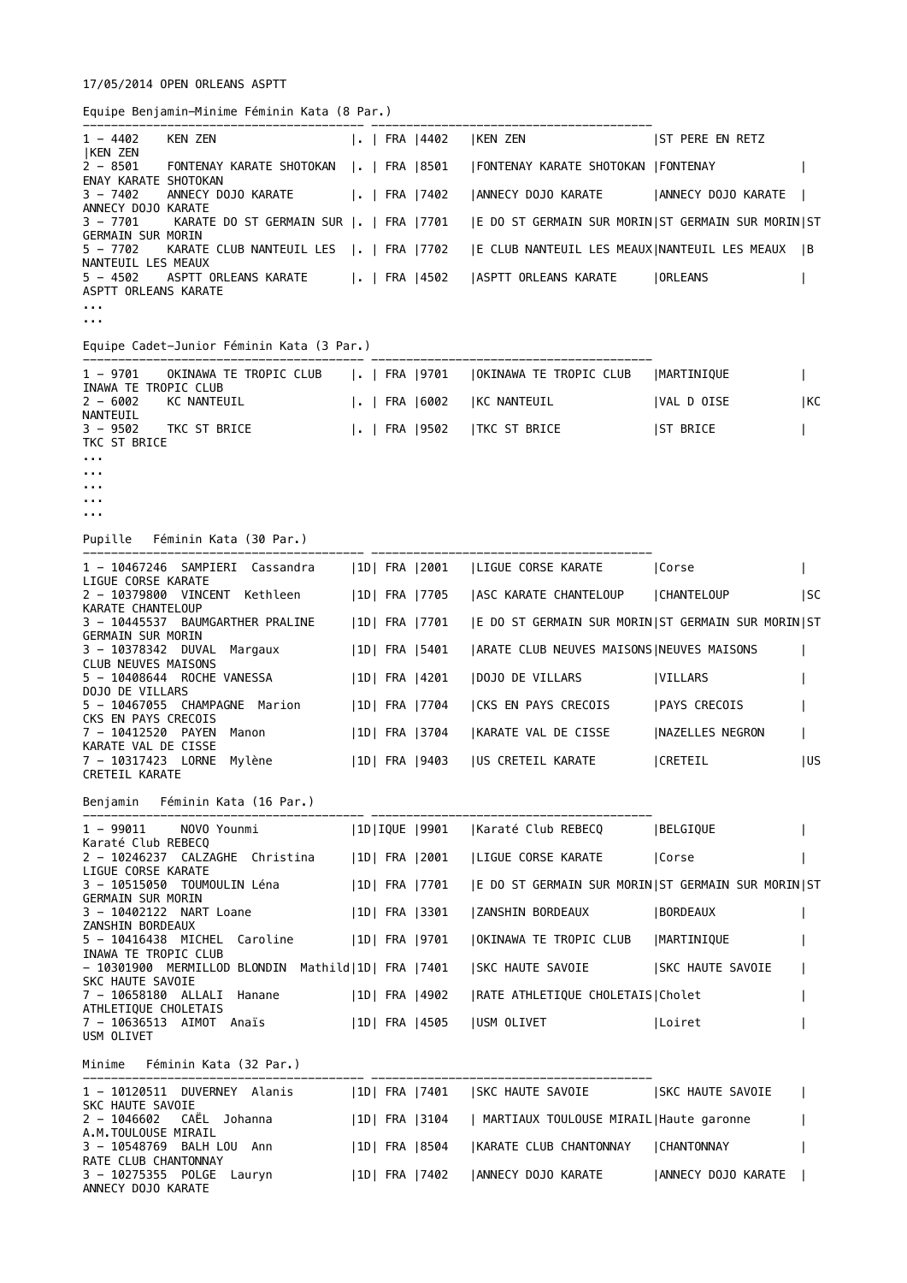## 17/05/2014 OPEN ORLEANS ASPTT

Equipe Benjamin-Minime Féminin Kata (8 Par.)

| $1 - 4402$<br><b>KEN ZEN</b>                               |                                           |  |               |                                                                                                 |                         |            |
|------------------------------------------------------------|-------------------------------------------|--|---------------|-------------------------------------------------------------------------------------------------|-------------------------|------------|
| $2 - 8501$<br>ENAY KARATE SHOTOKAN                         |                                           |  |               | FONTENAY KARATE SHOTOKAN  .   FRA  8501   FONTENAY KARATE SHOTOKAN  FONTENAY                    |                         |            |
| $3 - 7402$<br>ANNECY DOJO KARATE                           | ANNECY DOJO KARATE     FRA   7402         |  |               | ANNECY DOJO KARATE   ANNECY DOJO KARATE                                                         |                         |            |
| $3 - 7701$                                                 |                                           |  |               | KARATE DO ST GERMAIN SUR   .   FRA   7701   E DO ST GERMAIN SUR MORIN  ST GERMAIN SUR MORIN  ST |                         |            |
| <b>GERMAIN SUR MORIN</b><br>$5 - 7702$                     |                                           |  |               | KARATE CLUB NANTEUIL LES  .   FRA   7702   E CLUB NANTEUIL LES MEAUX   NANTEUIL LES MEAUX   B   |                         |            |
| NANTEUIL LES MEAUX<br>$5 - 4502$<br>ASPTT ORLEANS KARATE   |                                           |  |               | ASPTT ORLEANS KARATE       FRA  4502  ASPTT ORLEANS KARATE     ORLEANS                          |                         |            |
| $\sim 100$<br>a a a                                        |                                           |  |               |                                                                                                 |                         |            |
|                                                            | Equipe Cadet-Junior Féminin Kata (3 Par.) |  |               |                                                                                                 |                         |            |
|                                                            |                                           |  |               | 1 - 9701 OKINAWA TE TROPIC CLUB       FRA   9701   OKINAWA TE TROPIC CLUB   MARTINIQUE          |                         |            |
| INAWA TE TROPIC CLUB<br>$2 - 6002$                         | KC NANTEUIL                               |  |               | .   FRA  6002   KC NANTEUIL                                                                     | VAL D OISE              | KC         |
| NANTEUIL<br>$3 - 9502$<br>TKC ST BRICE                     | TKC ST BRICE                              |  |               | .  FRA  9502   TKC ST BRICE                                                                     | <b>ST BRICE</b>         |            |
| $\mathbf{r}$ , $\mathbf{r}$ , $\mathbf{r}$<br><b>A A A</b> |                                           |  |               |                                                                                                 |                         |            |
| .                                                          |                                           |  |               |                                                                                                 |                         |            |
| $\mathbf{r}$ , $\mathbf{r}$ , $\mathbf{r}$                 |                                           |  |               |                                                                                                 |                         |            |
|                                                            | Pupille Féminin Kata (30 Par.)            |  |               |                                                                                                 |                         |            |
| LIGUE CORSE KARATE                                         |                                           |  |               | 1 - 10467246 SAMPIERI Cassandra   1D  FRA   2001   LIGUE CORSE KARATE   Corse                   |                         |            |
| KARATE CHANTELOUP                                          |                                           |  |               | 2 - 10379800 VINCENT Kethleen   1D  FRA   7705   ASC KARATE CHANTELOUP   CHANTELOUP             |                         | SC         |
| <b>GERMAIN SUR MORIN</b>                                   | 3 - 10445537 BAUMGARTHER PRALINE          |  |               | 1D  FRA  7701   E DO ST GERMAIN SUR MORIN ST GERMAIN SUR MORIN ST                               |                         |            |
|                                                            |                                           |  |               | 3 - 10378342 DUVAL Margaux   1D  FRA   5401   ARATE CLUB NEUVES MAISONS   NEUVES MAISONS        |                         |            |
| <b>CLUB NEUVES MAISONS</b>                                 | 5 - 10408644 ROCHE VANESSA                |  | 1D  FRA  4201 | <b>DOJO DE VILLARS</b>                                                                          | VILLARS                 |            |
| <b>DOJO DE VILLARS</b>                                     | 5 - 10467055 CHAMPAGNE Marion             |  |               | 1D  FRA  7704   CKS EN PAYS CRECOIS   PAYS CRECOIS                                              |                         |            |
| CKS EN PAYS CRECOIS                                        | 7 - 10412520 PAYEN Manon                  |  | 1D  FRA  3704 | KARATE VAL DE CISSE                                                                             | <b>INAZELLES NEGRON</b> |            |
| KARATE VAL DE CISSE<br>CRETEIL KARATE                      | 7 - 10317423 LORNE Mylène                 |  |               | 1D  FRA  9403  US CRETEIL KARATE                                                                | CRETEIL                 | <b>IUS</b> |
|                                                            | Benjamin Féminin Kata (16 Par.)           |  |               |                                                                                                 |                         |            |
|                                                            |                                           |  |               | 1 - 99011 NOVO Younmi   1D IQUE  9901   Karaté Club REBECQ                                      | <b> BELGIQUE</b>        |            |
| Karaté Club REBECQ                                         |                                           |  |               | 2 - 10246237 CALZAGHE Christina   1D  FRA   2001   LIGUE CORSE KARATE   Corse                   |                         |            |
| LIGUE CORSE KARATE                                         | 3 - 10515050 TOUMOULIN Léna               |  |               | 1D  FRA  7701   E DO ST GERMAIN SUR MORIN ST GERMAIN SUR MORIN ST                               |                         |            |
| <b>GERMAIN SUR MORIN</b>                                   | 3 - 10402122 NART Loane                   |  | 1D  FRA  3301 | ZANSHIN BORDEAUX                                                                                | BORDEAUX                |            |
| ZANSHIN BORDEAUX                                           | 5 - 10416438 MICHEL Caroline              |  |               | 1D  FRA  9701  OKINAWA TE TROPIC CLUB                                                           | MARTINIQUE              |            |

```
- 10301900  MERMILLOD BLONDIN  Mathild|1D| FRA |7401   |SKC HAUTE SAVOIE        |SKC HAUTE SAVOIE    |
SKC HAUTE SAVOIE 
7 - 10658180 ALLALI Hanane | 1D| FRA |4902 |RATE ATHLETIQUE CHOLETAIS|Cholet
ATHLETIQUE CHOLETAIS
7 - 10636513 AIMOT Anaïs | 1D| FRA |4505 |USM OLIVET | Loiret | |
USM OLIVET
```
INAWA TE TROPIC CLUB

```
Minime Féminin Kata (32 Par.)
```
---------------------------------------- ---------------------------------------- 1 - 10120511 DUVERNEY Alanis | 1D| FRA |7401 | SKC HAUTE SAVOIE | SKC HAUTE SAVOIE | SKC HAUTE SAVOIE<br>2 - 1046602 CAËL Johanna |1D| FRA |3104 | MARTIAUX TOULOUSE MIRAIL|Haute garonne | A.M.TOULOUSE MIRAIL 3 - 10548769 BALH LOU Ann |1D| FRA |8504 |KARATE CLUB CHANTONNAY |CHANTONNAY | RATE CLUB CHANTONNAY 3 - 10275355 POLGE Lauryn | 1D| FRA |7402 |ANNECY DOJO KARATE | ANNECY DOJO KARATE | ANNECY DOJO KARATE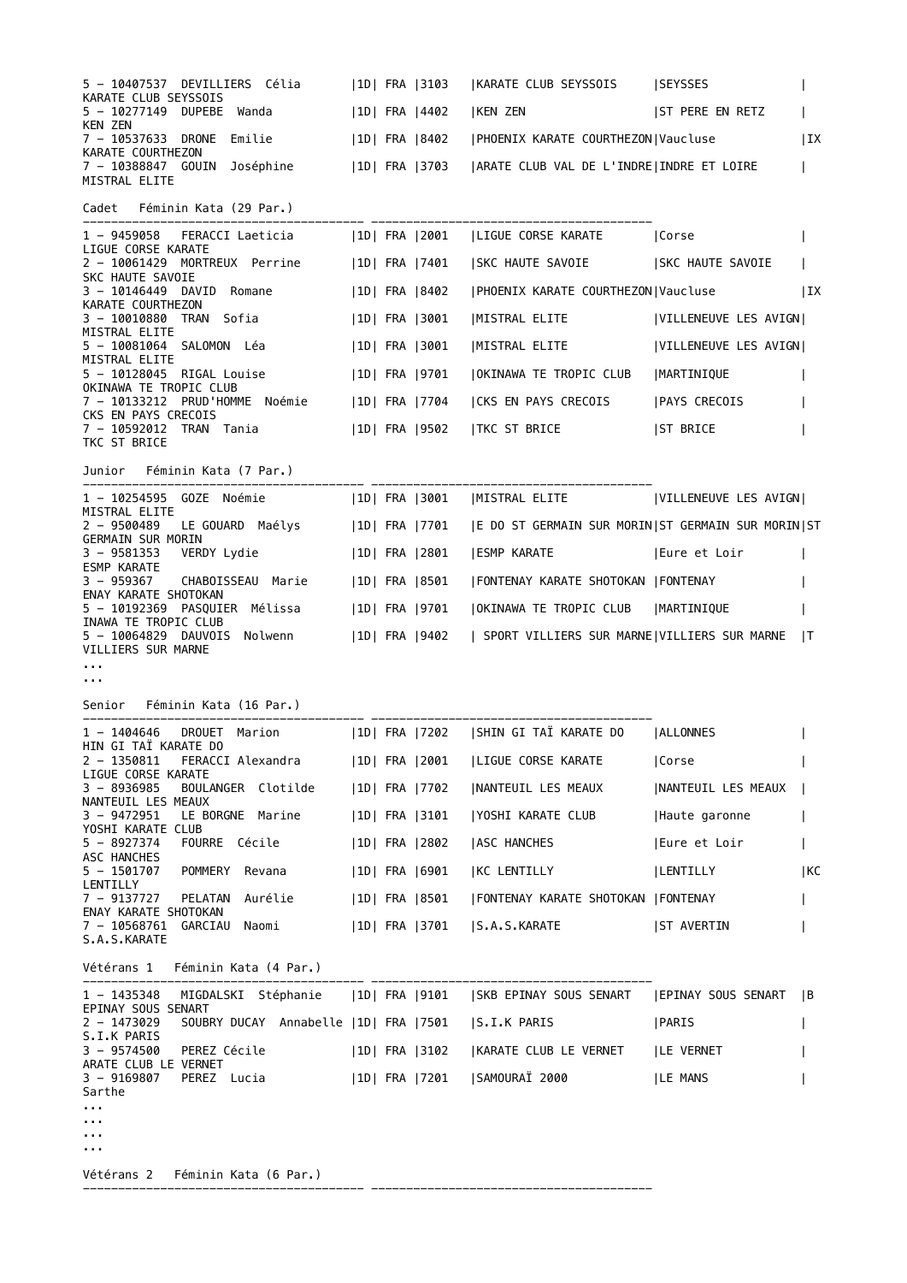| 5 - 10407537 DEVILLIERS Célia (1D) FRA 3103<br>KARATE CLUB SEYSSOIS                                                  |               | KARATE CLUB SEYSSOIS   SEYSSES              |                            |              |
|----------------------------------------------------------------------------------------------------------------------|---------------|---------------------------------------------|----------------------------|--------------|
| 5 - 10277149 DUPEBE Wanda<br><b>KEN ZEN</b>                                                                          | 1D  FRA  4402 | KEN ZEN   ST PERE EN RETZ                   |                            |              |
| 7 - 10537633 DRONE Emilie<br>KARATE COURTHEZON                                                                       | 1D  FRA  8402 | PHOENIX KARATE COURTHEZON   Vaucluse        |                            | IX           |
| 7 - 10388847 GOUIN Joséphine   1D  FRA   3703   ARATE CLUB VAL DE L'INDRE   INDRE ET LOIRE<br>MISTRAL ELITE          |               |                                             |                            |              |
| Cadet Féminin Kata (29 Par.)                                                                                         |               |                                             |                            |              |
| 1 - 9459058 FERACCI Laeticia (1D) FRA 2001   LIGUE CORSE KARATE   Corse<br>LIGUE CORSE KARATE                        |               |                                             |                            |              |
| 2 - 10061429 MORTREUX Perrine   1D   FRA   7401<br>SKC HAUTE SAVOIE                                                  |               | SKC HAUTE SAVOIE   SKC HAUTE SAVOIE         |                            |              |
| 3 - 10146449 DAVID Romane                                                                                            | 1D  FRA  8402 | PHOENIX KARATE COURTHEZON Vaucluse          |                            | IX           |
| KARATE COURTHEZON<br>3 – 10010880 TRAN Sofia                                                                         | 1D  FRA  3001 | MISTRAL ELITE    VILLENEUVE LES AVIGN       |                            |              |
| MISTRAL ELITE<br>5 - 10081064 SALOMON Léa                                                                            | 1D  FRA  3001 | MISTRAL ELITE                               | VILLENEUVE LES AVIGN       |              |
| MISTRAL ELITE<br>5 - 10128045 RIGAL Louise                                                                           | 1D  FRA  9701 | OKINAWA TE TROPIC CLUB                      | MARTINIQUE                 |              |
| OKINAWA TE TROPIC CLUB<br>7 - 10133212 PRUD'HOMME Noémie                                                             | 1D  FRA  7704 | CKS EN PAYS CRECOIS   PAYS CRECOIS          |                            |              |
| CKS EN PAYS CRECOIS<br>7 - 10592012 TRAN Tania<br>TKC ST BRICE                                                       | 1D  FRA  9502 | <b>TKC ST BRICE</b>                         | <b>ST BRICE</b>            |              |
| Junior Féminin Kata (7 Par.)                                                                                         |               |                                             |                            |              |
| 1 - 10254595 GOZE Noémie (1D  FRA   3001   MISTRAL ELITE     VILLENEUVE LES AVIGN                                    |               |                                             |                            |              |
| MISTRAL ELITE<br>2 - 9500489 LE GOUARD Maélys   1D  FRA   7701   E DO ST GERMAIN SUR MORIN  ST GERMAIN SUR MORIN  ST |               |                                             |                            |              |
| <b>GERMAIN SUR MORIN</b><br>3 - 9581353    VERDY    Lydie                                                            | 1D  FRA  2801 | <b>ESMP KARATE</b>                          | Eure et Loir               |              |
| <b>ESMP KARATE</b><br>3 - 959367 CHABOISSEAU Marie                                                                   | 1D  FRA  8501 | FONTENAY KARATE SHOTOKAN   FONTENAY         |                            |              |
| ENAY KARATE SHOTOKAN<br>5 - 10192369 PASQUIER Mélissa                                                                | 1D  FRA  9701 | OKINAWA TE TROPIC CLUB   MARTINIQUE         |                            |              |
| INAWA TE TROPIC CLUB<br>5 - 10064829 DAUVOIS Nolwenn<br>VILLIERS SUR MARNE                                           | 1D  FRA  9402 | SPORT VILLIERS SUR MARNE VILLIERS SUR MARNE |                            | $\mathsf{I}$ |
| a a an<br>.                                                                                                          |               |                                             |                            |              |
| Senior Féminin Kata (16 Par.)                                                                                        |               |                                             |                            |              |
| 1 - 1404646 DROUET Marion   1D  FRA   7202   SHIN GI TAÏ KARATE DO                                                   |               |                                             | <b>ALLONNES</b>            |              |
| HIN GI TAÏ KARATE DO<br>FERACCI Alexandra [1D] FRA [2001<br>$2 - 1350811$                                            |               | LIGUE CORSE KARATE                          | Corse                      |              |
| LIGUE CORSE KARATE<br>$3 - 8936985$<br>BOULANGER Clotilde                                                            | 1D  FRA  7702 | NANTEUIL LES MEAUX                          | <b>INANTEUIL LES MEAUX</b> |              |
| NANTEUIL LES MEAUX<br>3 - 9472951<br>LE BORGNE Marine                                                                | 1D  FRA  3101 | YOSHI KARATE CLUB                           | Haute garonne              |              |
| YOSHI KARATE CLUB<br>FOURRE Cécile<br>$5 - 8927374$                                                                  | 1D  FRA  2802 | <b>ASC HANCHES</b>                          | Eure et Loir               |              |
| ASC HANCHES<br>$5 - 1501707$<br>POMMERY Revana                                                                       | 1D  FRA  6901 | KC LENTILLY                                 | <b>ILENTILLY</b>           | KC           |
| LENTILLY<br>Aurélie<br>7 - 9137727<br>PELATAN                                                                        | 1D  FRA  8501 | FONTENAY KARATE SHOTOKAN   FONTENAY         |                            |              |
| ENAY KARATE SHOTOKAN<br>7 - 10568761 GARCIAU Naomi                                                                   | 1D  FRA  3701 | S.A.S.KARATE                                | <b>ST AVERTIN</b>          |              |

S.A.S.KARATE

Vétérans 1 Féminin Kata (4 Par.)

---------------------------------------- ---------------------------------------- 1 - 1435348 MIGDALSKI Stéphanie |1D| FRA |9101 |SKB EPINAY SOUS SENART |EPINAY SOUS SENART |B EPINAY SOUS SENART 2 - 1473029 SOUBRY DUCAY Annabelle |1D| FRA |7501 |S.I.K PARIS |PARIS | S.I.K PARIS 3 - 9574500 PEREZ Cécile | 1D| FRA |3102 | KARATE CLUB LE VERNET | LE VERNET | | ARATE CLUB LE VERNET 3 - 9169807 PEREZ Lucia | |1D| FRA |7201 |SAMOURAÏ 2000 | |LE MANS | | Sarthe ... ... ... ... Vétérans 2 Féminin Kata (6 Par.)

---------------------------------------- ----------------------------------------